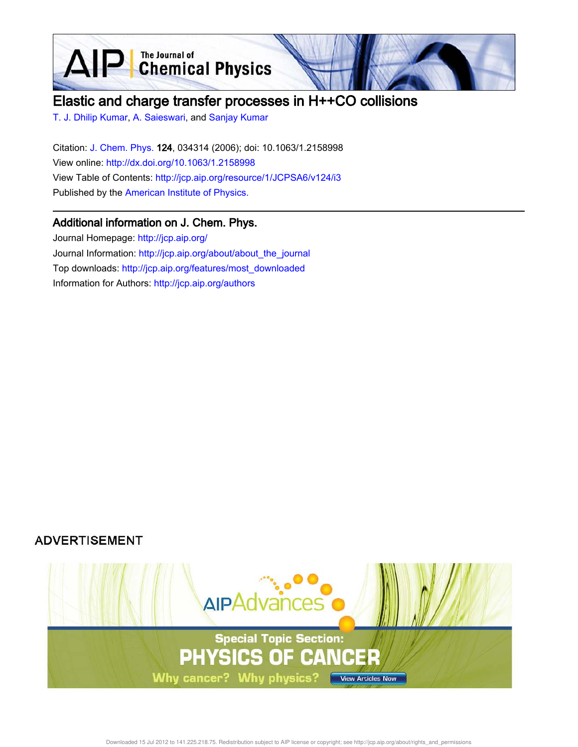**D** The Journal of Chemical Physics

# Elastic and charge transfer processes in H++CO collisions

T. J. Dhilip Kumar, A. Saieswari, and Sanjay Kumar

 $\blacktriangle$ 

Citation: J. Chem. Phys. 124, 034314 (2006); doi: 10.1063/1.2158998 View online: http://dx.doi.org/10.1063/1.2158998 View Table of Contents: http://jcp.aip.org/resource/1/JCPSA6/v124/i3 Published by the American Institute of Physics.

## Additional information on J. Chem. Phys.

Journal Homepage: http://jcp.aip.org/ Journal Information: http://jcp.aip.org/about/about\_the\_journal Top downloads: http://jcp.aip.org/features/most\_downloaded Information for Authors: http://jcp.aip.org/authors

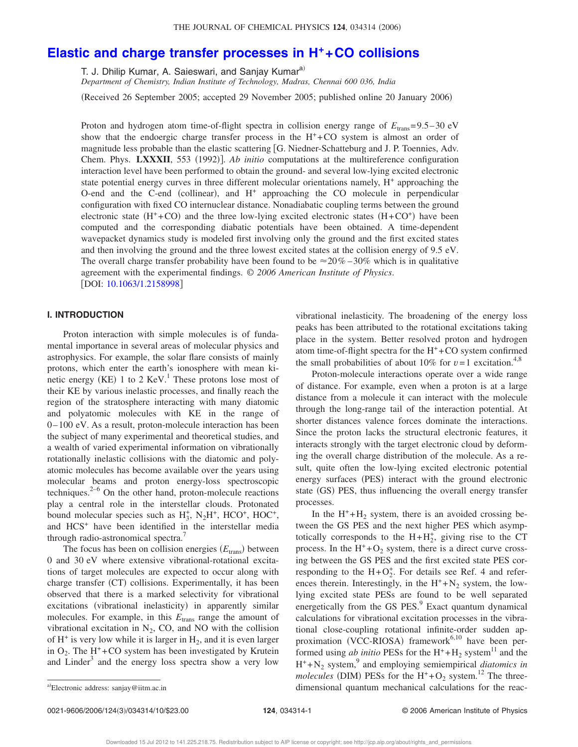### **Elastic and charge transfer processes in H++CO collisions**

T. J. Dhilip Kumar, A. Saieswari, and Sanjay Kumar<sup>a)</sup>

*Department of Chemistry, Indian Institute of Technology, Madras, Chennai 600 036, India*

Received 26 September 2005; accepted 29 November 2005; published online 20 January 2006-

Proton and hydrogen atom time-of-flight spectra in collision energy range of  $E_{trans}=9.5-30$  eV show that the endoergic charge transfer process in the  $H^+$ +CO system is almost an order of magnitude less probable than the elastic scattering G. Niedner-Schatteburg and J. P. Toennies, Adv. Chem. Phys. LXXXII, 553 (1992)]. Ab initio computations at the multireference configuration interaction level have been performed to obtain the ground- and several low-lying excited electronic state potential energy curves in three different molecular orientations namely, H<sup>+</sup> approaching the O-end and the C-end (collinear), and H<sup>+</sup> approaching the CO molecule in perpendicular configuration with fixed CO internuclear distance. Nonadiabatic coupling terms between the ground electronic state  $(H^+ + CO)$  and the three low-lying excited electronic states  $(H + CO^+)$  have been computed and the corresponding diabatic potentials have been obtained. A time-dependent wavepacket dynamics study is modeled first involving only the ground and the first excited states and then involving the ground and the three lowest excited states at the collision energy of 9.5 eV. The overall charge transfer probability have been found to be  $\approx 20\% - 30\%$  which is in qualitative agreement with the experimental findings. © *2006 American Institute of Physics*. [DOI: 10.1063/1.2158998]

#### **I. INTRODUCTION**

Proton interaction with simple molecules is of fundamental importance in several areas of molecular physics and astrophysics. For example, the solar flare consists of mainly protons, which enter the earth's ionosphere with mean kinetic energy (KE) 1 to 2  $\text{KeV}$ .<sup>1</sup> These protons lose most of their KE by various inelastic processes, and finally reach the region of the stratosphere interacting with many diatomic and polyatomic molecules with KE in the range of 0–100 eV. As a result, proton-molecule interaction has been the subject of many experimental and theoretical studies, and a wealth of varied experimental information on vibrationally rotationally inelastic collisions with the diatomic and polyatomic molecules has become available over the years using molecular beams and proton energy-loss spectroscopic techniques. $2^{-6}$  On the other hand, proton-molecule reactions play a central role in the interstellar clouds. Protonated bound molecular species such as  $H_3^+$ ,  $N_2H^+$ , HCO<sup>+</sup>, HOC<sup>+</sup>, and HCS<sup>+</sup> have been identified in the interstellar media through radio-astronomical spectra.<sup>7</sup>

The focus has been on collision energies ( $E_{trans}$ ) between 0 and 30 eV where extensive vibrational-rotational excitations of target molecules are expected to occur along with charge transfer (CT) collisions. Experimentally, it has been observed that there is a marked selectivity for vibrational excitations (vibrational inelasticity) in apparently similar molecules. For example, in this  $E_{trans}$  range the amount of vibrational excitation in  $N_2$ , CO, and NO with the collision of  $H^+$  is very low while it is larger in  $H_2$ , and it is even larger in  $O_2$ . The H<sup>+</sup>+CO system has been investigated by Krutein and Linder<sup>3</sup> and the energy loss spectra show a very low

vibrational inelasticity. The broadening of the energy loss peaks has been attributed to the rotational excitations taking place in the system. Better resolved proton and hydrogen atom time-of-flight spectra for the  $H^+$ +CO system confirmed the small probabilities of about 10% for  $v=1$  excitation.<sup>4,8</sup>

Proton-molecule interactions operate over a wide range of distance. For example, even when a proton is at a large distance from a molecule it can interact with the molecule through the long-range tail of the interaction potential. At shorter distances valence forces dominate the interactions. Since the proton lacks the structural electronic features, it interacts strongly with the target electronic cloud by deforming the overall charge distribution of the molecule. As a result, quite often the low-lying excited electronic potential energy surfaces (PES) interact with the ground electronic state (GS) PES, thus influencing the overall energy transfer processes.

In the  $H^+ + H_2$  system, there is an avoided crossing between the GS PES and the next higher PES which asymptotically corresponds to the  $H + H<sub>2</sub><sup>+</sup>$ , giving rise to the CT process. In the  $H^+$ + $O_2$  system, there is a direct curve crossing between the GS PES and the first excited state PES corresponding to the  $H+O<sub>2</sub><sup>+</sup>$ . For details see Ref. 4 and references therein. Interestingly, in the  $H^+ + N_2$  system, the lowlying excited state PESs are found to be well separated energetically from the GS PES.<sup>9</sup> Exact quantum dynamical calculations for vibrational excitation processes in the vibrational close-coupling rotational infinite-order sudden approximation (VCC-RIOSA) framework<sup>6,10</sup> have been performed using *ab initio* PESs for the  $H^+ + H_2$  system<sup>11</sup> and the  $H^+$ + $N_2$  system,<sup>9</sup> and employing semiempirical *diatomics in molecules* (DIM) PESs for the  $H^+$ +O<sub>2</sub> system.<sup>12</sup> The threedimensional quantum mechanical calculations for the reac-

0021-9606/2006/124(3)/034314/10/\$23.00

Electronic address: sanjay@iitm.ac.in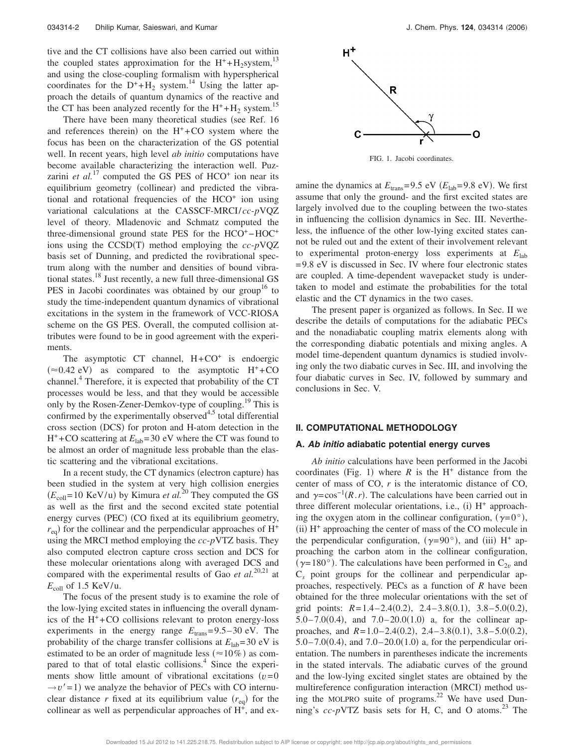tive and the CT collisions have also been carried out within the coupled states approximation for the  $H^+ + H_2$ system,<sup>13</sup> and using the close-coupling formalism with hyperspherical coordinates for the  $D^+ + H_2$  system.<sup>14</sup> Using the latter approach the details of quantum dynamics of the reactive and the CT has been analyzed recently for the  $H^+ + H_2$  system.<sup>15</sup>

There have been many theoretical studies (see Ref. 16 and references therein) on the  $H<sup>+</sup> + CO$  system where the focus has been on the characterization of the GS potential well. In recent years, high level *ab initio* computations have become available characterizing the interaction well. Puzzarini *et al.*<sup>17</sup> computed the GS PES of HCO<sup>+</sup> ion near its equilibrium geometry (collinear) and predicted the vibrational and rotational frequencies of the HCO<sup>+</sup> ion using variational calculations at the CASSCF-MRCI/*cc*-*p*VQZ level of theory. Mladenovic and Schmatz computed the three-dimensional ground state PES for the HCO<sup>+</sup>-HOC<sup>+</sup> ions using the CCSD(T) method employing the *cc-p*VQZ basis set of Dunning, and predicted the rovibrational spectrum along with the number and densities of bound vibrational states.<sup>18</sup> Just recently, a new full three-dimensional GS PES in Jacobi coordinates was obtained by our group<sup>16</sup> to study the time-independent quantum dynamics of vibrational excitations in the system in the framework of VCC-RIOSA scheme on the GS PES. Overall, the computed collision attributes were found to be in good agreement with the experiments.

The asymptotic CT channel,  $H + CO<sup>+</sup>$  is endoergic  $(\approx 0.42 \text{ eV})$  as compared to the asymptotic H<sup>+</sup>+CO channel.<sup>4</sup> Therefore, it is expected that probability of the CT processes would be less, and that they would be accessible only by the Rosen-Zener-Demkov-type of coupling.<sup>19</sup> This is confirmed by the experimentally observed $4,5$  total differential cross section (DCS) for proton and H-atom detection in the  $H^+$ +CO scattering at  $E_{lab}$ =30 eV where the CT was found to be almost an order of magnitude less probable than the elastic scattering and the vibrational excitations.

In a recent study, the CT dynamics (electron capture) has been studied in the system at very high collision energies  $(E_{\text{coll}}=10 \text{ KeV/u})$  by Kimura *et al.*<sup>20</sup> They computed the GS as well as the first and the second excited state potential energy curves (PEC) (CO fixed at its equilibrium geometry,  $r_{\text{eq}}$ ) for the collinear and the perpendicular approaches of H<sup>+</sup> using the MRCI method employing the *cc*-*p*VTZ basis. They also computed electron capture cross section and DCS for these molecular orientations along with averaged DCS and compared with the experimental results of Gao *et al.*20,21 at *E*coll of 1.5 KeV/u.

The focus of the present study is to examine the role of the low-lying excited states in influencing the overall dynamics of the  $H^+$ +CO collisions relevant to proton energy-loss experiments in the energy range  $E_{trans} = 9.5-30$  eV. The probability of the charge transfer collisions at  $E_{\text{lab}} = 30 \text{ eV}$  is estimated to be an order of magnitude less ( $\approx 10\%$ ) as compared to that of total elastic collisions.<sup>4</sup> Since the experiments show little amount of vibrational excitations  $(v=0)$  $\rightarrow v' = 1$ ) we analyze the behavior of PECs with CO internuclear distance *r* fixed at its equilibrium value  $(r_{eq})$  for the collinear as well as perpendicular approaches of  $H^{\dagger}$ , and ex-



FIG. 1. Jacobi coordinates.

amine the dynamics at  $E_{trans}$ =9.5 eV  $(E_{lab}$ =9.8 eV). We first assume that only the ground- and the first excited states are largely involved due to the coupling between the two-states in influencing the collision dynamics in Sec. III. Nevertheless, the influence of the other low-lying excited states cannot be ruled out and the extent of their involvement relevant to experimental proton-energy loss experiments at *E*lab =9.8 eV is discussed in Sec. IV where four electronic states are coupled. A time-dependent wavepacket study is undertaken to model and estimate the probabilities for the total elastic and the CT dynamics in the two cases.

The present paper is organized as follows. In Sec. II we describe the details of computations for the adiabatic PECs and the nonadiabatic coupling matrix elements along with the corresponding diabatic potentials and mixing angles. A model time-dependent quantum dynamics is studied involving only the two diabatic curves in Sec. III, and involving the four diabatic curves in Sec. IV, followed by summary and conclusions in Sec. V.

#### **II. COMPUTATIONAL METHODOLOGY**

#### **A. Ab initio adiabatic potential energy curves**

*Ab initio* calculations have been performed in the Jacobi coordinates (Fig. 1) where  $R$  is the  $H^+$  distance from the center of mass of CO, *r* is the interatomic distance of CO, and  $\gamma = \cos^{-1}(R \cdot r)$ . The calculations have been carried out in three different molecular orientations, i.e., (i) H<sup>+</sup> approaching the oxygen atom in the collinear configuration,  $(\gamma = 0^{\circ})$ , (ii) H<sup>+</sup> approaching the center of mass of the CO molecule in the perpendicular configuration,  $(\gamma = 90^{\circ})$ , and (iii) H<sup>+</sup> approaching the carbon atom in the collinear configuration, ( $\gamma$ =180°). The calculations have been performed in C<sub>2*v*</sub> and C*<sup>s</sup>* point groups for the collinear and perpendicular approaches, respectively. PECs as a function of *R* have been obtained for the three molecular orientations with the set of grid points:  $R=1.4-2.4(0.2)$ ,  $2.4-3.8(0.1)$ ,  $3.8-5.0(0.2)$ ,  $5.0 - 7.0(0.4)$ , and  $7.0 - 20.0(1.0)$  a for the collinear approaches, and  $R=1.0-2.4(0.2)$ ,  $2.4-3.8(0.1)$ ,  $3.8-5.0(0.2)$ ,  $5.0 - 7.0(0.4)$ , and  $7.0 - 20.0(1.0)$  a, for the perpendicular orientation. The numbers in parentheses indicate the increments in the stated intervals. The adiabatic curves of the ground and the low-lying excited singlet states are obtained by the multireference configuration interaction (MRCI) method using the MOLPRO suite of programs.<sup>22</sup> We have used Dunning's  $cc$ - $p$ VTZ basis sets for H, C, and O atoms.<sup>23</sup> The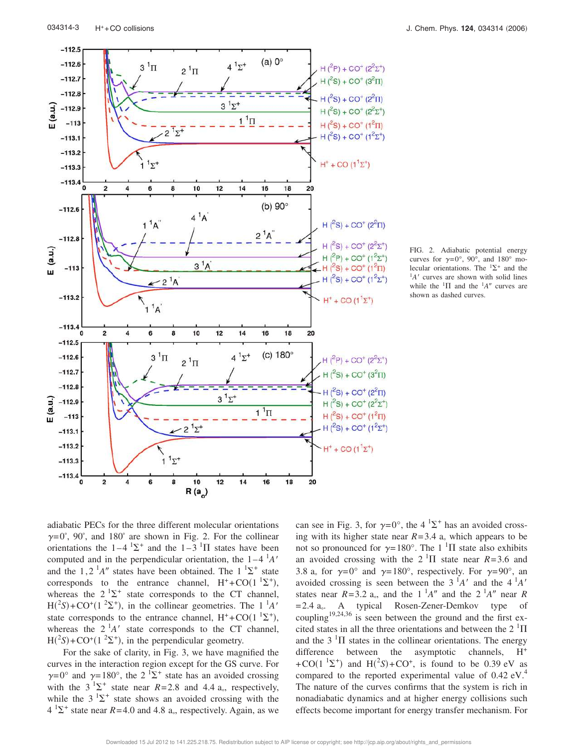

FIG. 2. Adiabatic potential energy curves for  $\gamma = 0^\circ$ , 90<sup>°</sup>, and 180<sup>°</sup> molecular orientations. The  ${}^{1}\Sigma^{+}$  and the  ${}^{1}A'$  curves are shown with solid lines while the  ${}^{1}\Pi$  and the  ${}^{1}A''$  curves are shown as dashed curves.

adiabatic PECs for the three different molecular orientations  $\gamma = 0^{\degree}$ , 90°, and 180° are shown in Fig. 2. For the collinear orientations the  $1-4 \frac{1}{2}$  and the  $1-3 \frac{1}{1}$  states have been computed and in the perpendicular orientation, the  $1-4<sup>1</sup>A'$ and the 1,2<sup>1</sup>A<sup>"</sup> states have been obtained. The 1<sup>1</sup> $\Sigma$ <sup>+</sup> state corresponds to the entrance channel,  $H^+$ +CO(1<sup>1</sup> $\Sigma^+$ ), whereas the  $2^{1}\Sigma^{+}$  state corresponds to the CT channel,  $H({}^{2}S) + CO^{+}(1 \ ^{2}\Sigma^{+})$ , in the collinear geometries. The 1<sup>1</sup>A' state corresponds to the entrance channel,  $H^+$ +CO(1<sup>1</sup> $\Sigma^+$ ), whereas the  $2^1A'$  state corresponds to the CT channel,  $H({}^{2}S) + CO^{+}(1 { }^{2}\Sigma^{+})$ , in the perpendicular geometry.

For the sake of clarity, in Fig. 3, we have magnified the curves in the interaction region except for the GS curve. For  $\gamma=0^{\circ}$  and  $\gamma=180^{\circ}$ , the 2 <sup>1</sup> $\Sigma^{+}$  state has an avoided crossing with the  $3^{1}\Sigma^{+}$  state near  $R=2.8$  and 4.4 a., respectively, while the  $3^{1}\Sigma^{+}$  state shows an avoided crossing with the  $4 \text{ }^{1}\Sigma^{+}$  state near  $R=4.0$  and 4.8 a., respectively. Again, as we

can see in Fig. 3, for  $\gamma = 0^{\circ}$ , the 4  $^{1}\Sigma^{+}$  has an avoided crossing with its higher state near  $R=3.4$  a<sub> $\sigma$ </sub> which appears to be not so pronounced for  $\gamma=180^\circ$ . The 1 <sup>1</sup>II state also exhibits an avoided crossing with the  $2 \text{ }^{1} \Pi$  state near *R*=3.6 and 3.8 a, for  $\gamma = 0^{\circ}$  and  $\gamma = 180^{\circ}$ , respectively. For  $\gamma = 90^{\circ}$ , and avoided crossing is seen between the  $3<sup>1</sup>A'$  and the  $4<sup>1</sup>A'$ states near  $R=3.2$  a<sub>°</sub>, and the 1<sup>1</sup>A<sup>n</sup> and the 2<sup>1</sup>A<sup>n</sup> near R =2.4 a . A typical Rosen-Zener-Demkov type of coupling<sup>19,24,36</sup> is seen between the ground and the first excited states in all the three orientations and between the  $2 \text{ }^1\Pi$ and the  $3<sup>1</sup>\Pi$  states in the collinear orientations. The energy difference between the asymptotic channels,  $H^+$ +CO( $1 \text{ }^{1}\Sigma^{+}$ ) and H( $^{2}S$ )+CO<sup>+</sup>, is found to be 0.39 eV as compared to the reported experimental value of  $0.42 \text{ eV}^4$ . The nature of the curves confirms that the system is rich in nonadiabatic dynamics and at higher energy collisions such effects become important for energy transfer mechanism. For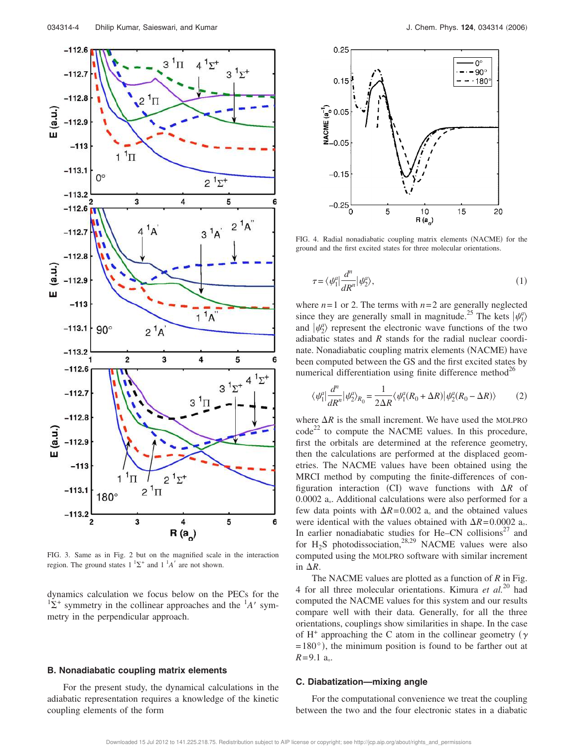

FIG. 3. Same as in Fig. 2 but on the magnified scale in the interaction region. The ground states  $1 \, {}^{1}\Sigma^{+}$  and  $1 \, {}^{1}A'$  are not shown.

dynamics calculation we focus below on the PECs for the  $\frac{12}{2}$  symmetry in the collinear approaches and the  $^{1}A'$  symmetry in the perpendicular approach.

#### **B. Nonadiabatic coupling matrix elements**

For the present study, the dynamical calculations in the adiabatic representation requires a knowledge of the kinetic coupling elements of the form



FIG. 4. Radial nonadiabatic coupling matrix elements (NACME) for the ground and the first excited states for three molecular orientations.

$$
\tau = \langle \psi_1^a | \frac{d^n}{dR^n} | \psi_2^a \rangle,\tag{1}
$$

where  $n=1$  or 2. The terms with  $n=2$  are generally neglected since they are generally small in magnitude.<sup>25</sup> The kets  $|\psi_1^a\rangle$ and  $|\psi_2^a\rangle$  represent the electronic wave functions of the two adiabatic states and *R* stands for the radial nuclear coordinate. Nonadiabatic coupling matrix elements (NACME) have been computed between the GS and the first excited states by numerical differentiation using finite difference method<sup>26</sup>

$$
\langle \psi_1^a \vert \frac{d^n}{dR^n} \vert \psi_2^a \rangle_{R_0} = \frac{1}{2\Delta R} \langle \psi_1^a (R_0 + \Delta R) \vert \psi_2^a (R_0 - \Delta R) \rangle \tag{2}
$$

where  $\Delta R$  is the small increment. We have used the MOLPRO  $code^{22}$  to compute the NACME values. In this procedure, first the orbitals are determined at the reference geometry, then the calculations are performed at the displaced geometries. The NACME values have been obtained using the MRCI method by computing the finite-differences of configuration interaction (CI) wave functions with  $\Delta R$  of 0.0002 a . Additional calculations were also performed for a few data points with  $\Delta R = 0.002$  a<sub>s</sub> and the obtained values were identical with the values obtained with  $\Delta R = 0.0002$  a. In earlier nonadiabatic studies for He–CN collisions $27$  and for  $H_2S$  photodissociation,<sup>28,29</sup> NACME values were also computed using the MOLPRO software with similar increment in  $\Delta R$ .

The NACME values are plotted as a function of *R* in Fig. 4 for all three molecular orientations. Kimura *et al.*<sup>20</sup> had computed the NACME values for this system and our results compare well with their data. Generally, for all the three orientations, couplings show similarities in shape. In the case of H<sup>+</sup> approaching the C atom in the collinear geometry ( $\gamma$  $=180^{\circ}$ ), the minimum position is found to be farther out at *R*=9.1 a .

#### **C. Diabatization—mixing angle**

For the computational convenience we treat the coupling between the two and the four electronic states in a diabatic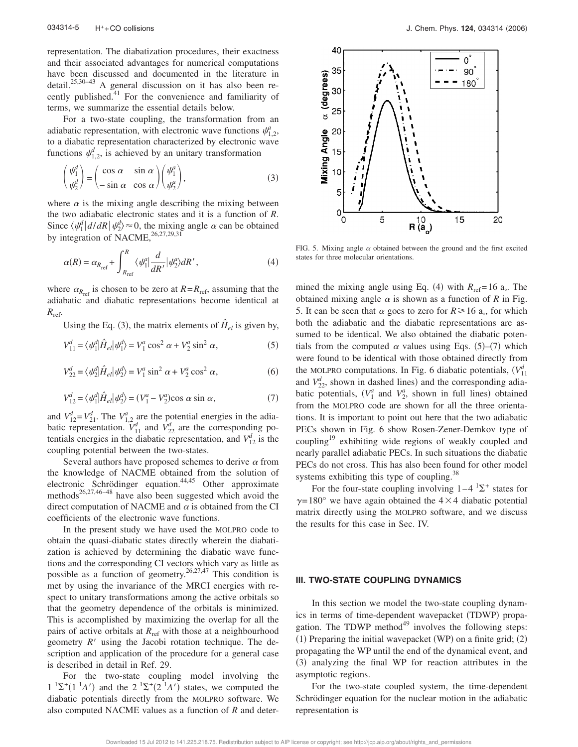representation. The diabatization procedures, their exactness and their associated advantages for numerical computations have been discussed and documented in the literature in  $\det$   $\mathbb{R}^{25,30-43}$  A general discussion on it has also been recently published.<sup>41</sup> For the convenience and familiarity of terms, we summarize the essential details below.

For a two-state coupling, the transformation from an adiabatic representation, with electronic wave functions  $\psi_{1,2}^a$ , to a diabatic representation characterized by electronic wave functions  $\psi_{1,2}^d$ , is achieved by an unitary transformation

$$
\begin{pmatrix} \psi_1^d \\ \psi_2^d \end{pmatrix} = \begin{pmatrix} \cos \alpha & \sin \alpha \\ -\sin \alpha & \cos \alpha \end{pmatrix} \begin{pmatrix} \psi_1^a \\ \psi_2^a \end{pmatrix},
$$
\n(3)

where  $\alpha$  is the mixing angle describing the mixing between the two adiabatic electronic states and it is a function of *R*. Since  $\langle \psi_1^d | d/dR | \psi_2^d \rangle \approx 0$ , the mixing angle  $\alpha$  can be obtained by integration of NACME,  $^{26,27,29,31}$ 

$$
\alpha(R) = \alpha_{R_{\text{ref}}} + \int_{R_{\text{ref}}}^{R} \langle \psi_1^a | \frac{d}{dR'} | \psi_2^a \rangle dR', \qquad (4)
$$

where  $\alpha_{R_{\text{ref}}}$  is chosen to be zero at  $R = R_{\text{ref}}$ , assuming that the adiabatic and diabatic representations become identical at  $R_{\text{ref}}$ .

Using the Eq. (3), the matrix elements of  $\hat{H}_{el}$  is given by,

$$
V_{11}^{d} = \langle \psi_1^{d} | \hat{H}_{el} | \psi_1^{d} \rangle = V_1^{a} \cos^2 \alpha + V_2^{a} \sin^2 \alpha, \qquad (5)
$$

$$
V_{22}^{d} = \langle \psi_2^{d} | \hat{H}_{el} | \psi_2^{d} \rangle = V_1^a \sin^2 \alpha + V_2^a \cos^2 \alpha, \qquad (6)
$$

$$
V_{12}^{d} = \langle \psi_1^{d} | \hat{H}_{el} | \psi_2^{d} \rangle = (V_1^{a} - V_2^{a}) \cos \alpha \sin \alpha, \qquad (7)
$$

and  $V_{12}^d = V_{21}^d$ . The  $V_{1,2}^a$  are the potential energies in the adiabatic representation.  $V_{11}^d$  and  $V_{22}^d$  are the corresponding potentials energies in the diabatic representation, and  $V_{12}^d$  is the coupling potential between the two-states.

Several authors have proposed schemes to derive  $\alpha$  from the knowledge of NACME obtained from the solution of electronic Schrödinger equation.<sup>44,45</sup> Other approximate methods<sup>26,27,46–48</sup> have also been suggested which avoid the direct computation of NACME and  $\alpha$  is obtained from the CI coefficients of the electronic wave functions.

In the present study we have used the MOLPRO code to obtain the quasi-diabatic states directly wherein the diabatization is achieved by determining the diabatic wave functions and the corresponding CI vectors which vary as little as possible as a function of geometry.<sup>26,27,47</sup> This condition is met by using the invariance of the MRCI energies with respect to unitary transformations among the active orbitals so that the geometry dependence of the orbitals is minimized. This is accomplished by maximizing the overlap for all the pairs of active orbitals at *R*<sub>ref</sub> with those at a neighbourhood geometry  $R'$  using the Jacobi rotation technique. The description and application of the procedure for a general case is described in detail in Ref. 29.

For the two-state coupling model involving the  $1^{1}\Sigma^{+}(1^{1}A')$  and the  $2^{1}\Sigma^{+}(2^{1}A')$  states, we computed the diabatic potentials directly from the MOLPRO software. We also computed NACME values as a function of *R* and deter-



FIG. 5. Mixing angle  $\alpha$  obtained between the ground and the first excited states for three molecular orientations.

mined the mixing angle using Eq. (4) with  $R_{ref}=16$  a. The obtained mixing angle  $\alpha$  is shown as a function of *R* in Fig. 5. It can be seen that  $\alpha$  goes to zero for  $R \ge 16$  a<sub>o</sub>, for which both the adiabatic and the diabatic representations are assumed to be identical. We also obtained the diabatic potentials from the computed  $\alpha$  values using Eqs. (5)–(7) which were found to be identical with those obtained directly from the MOLPRO computations. In Fig. 6 diabatic potentials,  $(V_{11}^d)$ and  $V_{22}^d$ , shown in dashed lines) and the corresponding adiabatic potentials,  $(V_1^a$  and  $V_2^a$ , shown in full lines) obtained from the MOLPRO code are shown for all the three orientations. It is important to point out here that the two adiabatic PECs shown in Fig. 6 show Rosen-Zener-Demkov type of coupling<sup>19</sup> exhibiting wide regions of weakly coupled and nearly parallel adiabatic PECs. In such situations the diabatic PECs do not cross. This has also been found for other model systems exhibiting this type of coupling.<sup>38</sup>

For the four-state coupling involving  $1-4$   $1\Sigma^+$  states for  $\gamma$ =180° we have again obtained the 4×4 diabatic potential matrix directly using the MOLPRO software, and we discuss the results for this case in Sec. IV.

#### **III. TWO-STATE COUPLING DYNAMICS**

In this section we model the two-state coupling dynamics in terms of time-dependent wavepacket (TDWP) propagation. The TDWP method $49$  involves the following steps:  $(1)$  Preparing the initial wavepacket (WP) on a finite grid;  $(2)$ propagating the WP until the end of the dynamical event, and (3) analyzing the final WP for reaction attributes in the asymptotic regions.

For the two-state coupled system, the time-dependent Schrödinger equation for the nuclear motion in the adiabatic representation is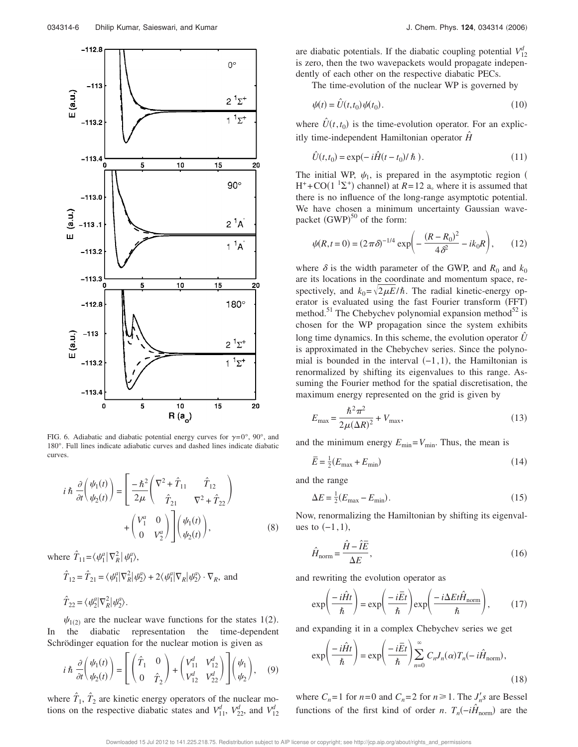

FIG. 6. Adiabatic and diabatic potential energy curves for  $\gamma = 0^{\circ}$ ,  $90^{\circ}$ , and 180°. Full lines indicate adiabatic curves and dashed lines indicate diabatic curves.

$$
i\hbar \frac{\partial}{\partial t} \left( \frac{\psi_1(t)}{\psi_2(t)} \right) = \left[ \frac{-\hbar^2}{2\mu} \left( \frac{\nabla^2 + \hat{T}_{11}}{\hat{T}_{21}} \frac{\hat{T}_{12}}{\nabla^2 + \hat{T}_{22}} \right) + \left( \frac{V_1^a}{0} \frac{0}{V_2^a} \right) \right] \left( \frac{\psi_1(t)}{\psi_2(t)} \right), \tag{8}
$$

where  $\hat{T}_{11} = \langle \psi_1^a | \nabla_R^2 | \psi_1^a \rangle$ ,

$$
\hat{T}_{12} = \hat{T}_{21} = \langle \psi_1^a | \nabla_R^2 | \psi_2^a \rangle + 2 \langle \psi_1^a | \nabla_R | \psi_2^a \rangle \cdot \nabla_R
$$
, and  

$$
\hat{T}_{22} = \langle \psi_2^a | \nabla_R^2 | \psi_2^a \rangle.
$$

 $\psi_{1(2)}$  are the nuclear wave functions for the states 1(2). In the diabatic representation the time-dependent Schrödinger equation for the nuclear motion is given as

$$
i\hbar \frac{\partial}{\partial t} \left( \frac{\psi_1(t)}{\psi_2(t)} \right) = \left[ \begin{pmatrix} \hat{T}_1 & 0 \\ 0 & \hat{T}_2 \end{pmatrix} + \begin{pmatrix} V_{11}^d & V_{12}^d \\ V_{12}^d & V_{22}^d \end{pmatrix} \right] \left( \frac{\psi_1}{\psi_2} \right), \quad (9)
$$

where  $\hat{T}_1$ ,  $\hat{T}_2$  are kinetic energy operators of the nuclear motions on the respective diabatic states and  $V_{11}^d$ ,  $V_{22}^d$ , and  $V_{12}^d$ 

are diabatic potentials. If the diabatic coupling potential  $V_{12}^d$ is zero, then the two wavepackets would propagate independently of each other on the respective diabatic PECs.

The time-evolution of the nuclear WP is governed by

$$
\psi(t) = \hat{U}(t, t_0)\psi(t_0). \tag{10}
$$

where  $\hat{U}(t, t_0)$  is the time-evolution operator. For an explicitly time-independent Hamiltonian operator *Hˆ*

$$
\hat{U}(t, t_0) = \exp(-i\hat{H}(t - t_0)/\hbar).
$$
\n(11)

The initial WP,  $\psi_1$ , is prepared in the asymptotic region (  $H^+$ +CO(1<sup>1</sup> $\Sigma^+$ ) channel) at *R*=12 a<sub>°</sub> where it is assumed that there is no influence of the long-range asymptotic potential. We have chosen a minimum uncertainty Gaussian wavepacket  $(GWP)^{50}$  of the form:

$$
\psi(R, t=0) = (2\pi\delta)^{-1/4} \exp\left(-\frac{(R-R_0)^2}{4\delta^2} - ik_0R\right),\tag{12}
$$

where  $\delta$  is the width parameter of the GWP, and  $R_0$  and  $k_0$ are its locations in the coordinate and momentum space, respectively, and  $k_0 = \sqrt{2\mu E}/\hbar$ . The radial kinetic-energy operator is evaluated using the fast Fourier transform (FFT) method.<sup>51</sup> The Chebychev polynomial expansion method<sup>52</sup> is chosen for the WP propagation since the system exhibits long time dynamics. In this scheme, the evolution operator  $\hat{U}$ is approximated in the Chebychev series. Since the polynomial is bounded in the interval  $(-1,1)$ , the Hamiltonian is renormalized by shifting its eigenvalues to this range. Assuming the Fourier method for the spatial discretisation, the maximum energy represented on the grid is given by

$$
E_{\text{max}} = \frac{\hbar^2 \pi^2}{2\mu (\Delta R)^2} + V_{\text{max}},\tag{13}
$$

and the minimum energy  $E_{\text{min}}=V_{\text{min}}$ . Thus, the mean is

$$
\overline{E} = \frac{1}{2}(E_{\text{max}} + E_{\text{min}}) \tag{14}
$$

and the range

$$
\Delta E = \frac{1}{2} (E_{\text{max}} - E_{\text{min}}). \tag{15}
$$

Now, renormalizing the Hamiltonian by shifting its eigenvalues to  $(-1,1)$ ,

$$
\hat{H}_{\text{norm}} = \frac{\hat{H} - \hat{I}\overline{E}}{\Delta E},\tag{16}
$$

and rewriting the evolution operator as

$$
\exp\left(\frac{-i\hat{H}t}{\hbar}\right) = \exp\left(\frac{-i\bar{E}t}{\hbar}\right) \exp\left(\frac{-i\Delta E t \hat{H}_{\text{norm}}}{\hbar}\right),\tag{17}
$$

and expanding it in a complex Chebychev series we get

$$
\exp\left(\frac{-i\hat{H}t}{\hbar}\right) = \exp\left(\frac{-i\bar{E}t}{\hbar}\right) \sum_{n=0}^{\infty} C_n J_n(\alpha) T_n(-i\hat{H}_{\text{norm}}),
$$
\n(18)

where  $C_n = 1$  for  $n = 0$  and  $C_n = 2$  for  $n \ge 1$ . The  $J'_n s$  are Bessel functions of the first kind of order *n*.  $T_n(-i\hat{H}_{norm})$  are the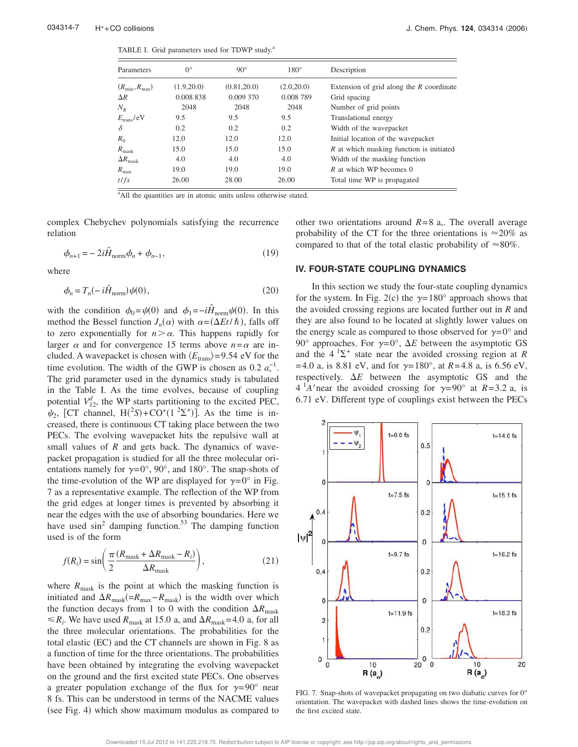TABLE I. Grid parameters used for TDWP study.<sup>a</sup>

| Parameters             | $0^{\circ}$ | $90^\circ$   | $180^\circ$ | Description                                |
|------------------------|-------------|--------------|-------------|--------------------------------------------|
| $(R_{\min}, R_{\max})$ | (1.9,20.0)  | (0.81, 20.0) | (2.0, 20.0) | Extension of grid along the $R$ coordinate |
| $\Delta R$             | 0.008 838   | 0.009 370    | 0.008 789   | Grid spacing                               |
| $N_R$                  | 2048        | 2048         | 2048        | Number of grid points                      |
| $E_{trans}/eV$         | 9.5         | 9.5          | 9.5         | Translational energy                       |
| δ                      | 0.2         | 0.2          | 0.2         | Width of the wavepacket                    |
| $R_{0}$                | 12.0        | 12.0         | 12.0        | Initial location of the wavepacket         |
| $R_{\rm mask}$         | 15.0        | 15.0         | 15.0        | R at which masking function is initiated   |
| $\Delta R_{\rm mask}$  | 4.0         | 4.0          | 4.0         | Width of the masking function              |
| $R_{\rm max}$          | 19.0        | 19.0         | 19.0        | R at which WP becomes 0                    |
| $t$ / $fs$             | 26.00       | 28.00        | 26.00       | Total time WP is propagated                |
|                        |             |              |             |                                            |

<sup>a</sup>All the quantities are in atomic units unless otherwise stated.

complex Chebychev polynomials satisfying the recurrence relation

$$
\phi_{n+1} = -2i\hat{H}_{\text{norm}}\phi_n + \phi_{n-1},\tag{19}
$$

where

$$
\phi_n = T_n(-i\hat{H}_{\text{norm}})\psi(0),\tag{20}
$$

with the condition  $\phi_0 = \psi(0)$  and  $\phi_1 = -i\hat{H}_{norm}\psi(0)$ . In this method the Bessel function  $J_n(\alpha)$  with  $\alpha = (\Delta E t / h)$ , falls off to zero exponentially for  $n > \alpha$ . This happens rapidly for larger  $\alpha$  and for convergence 15 terms above  $n = \alpha$  are included. A wavepacket is chosen with  $\langle E_{\text{trans}}\rangle=9.54$  eV for the time evolution. The width of the GWP is chosen as  $0.2 a<sub>o</sub><sup>-1</sup>$ . The grid parameter used in the dynamics study is tabulated in the Table I. As the time evolves, because of coupling potential  $V_{12}^d$ , the WP starts partitioning to the excited PEC,  $\psi_2$ , [CT channel, H(<sup>2</sup>S)+CO<sup>+</sup>(1<sup>2</sup>\z<sup>+</sup>)]. As the time is increased, there is continuous CT taking place between the two PECs. The evolving wavepacket hits the repulsive wall at small values of *R* and gets back. The dynamics of wavepacket propagation is studied for all the three molecular orientations namely for  $\gamma = 0^{\circ}$ , 90°, and 180°. The snap-shots of the time-evolution of the WP are displayed for  $\gamma = 0^{\circ}$  in Fig. 7 as a representative example. The reflection of the WP from the grid edges at longer times is prevented by absorbing it near the edges with the use of absorbing boundaries. Here we have used  $\sin^2$  damping function.<sup>53</sup> The damping function used is of the form

$$
f(R_i) = \sin\left(\frac{\pi}{2}\frac{(R_{\text{mask}} + \Delta R_{\text{mask}} - R_i)}{\Delta R_{\text{mask}}}\right),\tag{21}
$$

where  $R_{\text{mask}}$  is the point at which the masking function is initiated and  $\Delta R_{\text{mask}}(=R_{\text{max}}-R_{\text{mask}})$  is the width over which the function decays from 1 to 0 with the condition  $\Delta R_{\text{mask}}$  $\leq R_i$ . We have used  $R_{\text{mask}}$  at 15.0 a<sub>o</sub> and  $\Delta R_{\text{mask}} = 4.0$  a<sub>o</sub> for all the three molecular orientations. The probabilities for the total elastic (EC) and the CT channels are shown in Fig. 8 as a function of time for the three orientations. The probabilities have been obtained by integrating the evolving wavepacket on the ground and the first excited state PECs. One observes a greater population exchange of the flux for  $\gamma=90^{\circ}$  near 8 fs. This can be understood in terms of the NACME values (see Fig. 4) which show maximum modulus as compared to

other two orientations around  $R=8$  a. The overall average probability of the CT for the three orientations is  $\approx 20\%$  as compared to that of the total elastic probability of  $\approx 80\%$ .

#### **IV. FOUR-STATE COUPLING DYNAMICS**

In this section we study the four-state coupling dynamics for the system. In Fig. 2(c) the  $\gamma = 180^\circ$  approach shows that the avoided crossing regions are located further out in *R* and they are also found to be located at slightly lower values on the energy scale as compared to those observed for  $\gamma=0^{\circ}$  and 90° approaches. For  $\gamma = 0$ °,  $\Delta E$  between the asymptotic GS and the  $4^{1}\Sigma^{+}$  state near the avoided crossing region at *R*  $=4.0$  a<sub>o</sub> is 8.81 eV, and for  $\gamma = 180^{\circ}$ , at *R*=4.8 a<sub>o</sub> is 6.56 eV, respectively.  $\Delta E$  between the asymptotic GS and the  $4 \text{ }^{\text{ }1}$ A'near the avoided crossing for  $\gamma = 90^{\circ}$  at  $R = 3.2 \text{ a}$  is 6.71 eV. Different type of couplings exist between the PECs



FIG. 7. Snap-shots of wavepacket propagating on two diabatic curves for 0° orientation. The wavepacket with dashed lines shows the time-evolution on the first excited state.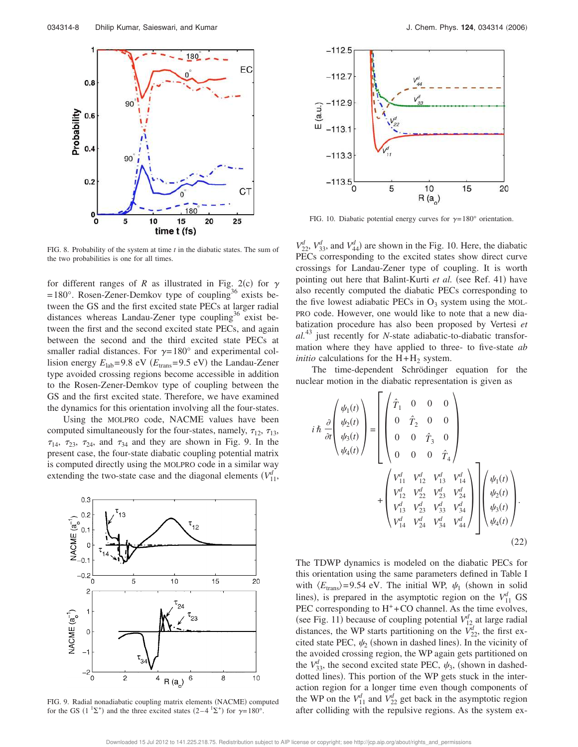

FIG. 8. Probability of the system at time *t* in the diabatic states. The sum of the two probabilities is one for all times.

for different ranges of *R* as illustrated in Fig. 2(c) for  $\gamma$  $=180^{\circ}$ . Rosen-Zener-Demkov type of coupling<sup>36</sup> exists between the GS and the first excited state PECs at larger radial distances whereas Landau-Zener type coupling<sup>36</sup> exist between the first and the second excited state PECs, and again between the second and the third excited state PECs at smaller radial distances. For  $\gamma=180^\circ$  and experimental collision energy  $E_{\text{lab}} = 9.8 \text{ eV}$  ( $E_{\text{trans}} = 9.5 \text{ eV}$ ) the Landau-Zener type avoided crossing regions become accessible in addition to the Rosen-Zener-Demkov type of coupling between the GS and the first excited state. Therefore, we have examined the dynamics for this orientation involving all the four-states.

Using the MOLPRO code, NACME values have been computed simultaneously for the four-states, namely,  $\tau_{12}$ ,  $\tau_{13}$ ,  $\tau_{14}$ ,  $\tau_{23}$ ,  $\tau_{24}$ , and  $\tau_{34}$  and they are shown in Fig. 9. In the present case, the four-state diabatic coupling potential matrix is computed directly using the MOLPRO code in a similar way extending the two-state case and the diagonal elements  $(V_{11}^d,$ 



FIG. 9. Radial nonadiabatic coupling matrix elements (NACME) computed for the GS (1<sup>1</sup> $\Sigma$ <sup>+</sup>) and the three excited states (2–4<sup>1</sup> $\Sigma$ <sup>+</sup>) for  $\gamma$ =180°.



FIG. 10. Diabatic potential energy curves for  $\gamma=180^\circ$  orientation.

 $V_{22}^d$ ,  $V_{33}^d$ , and  $V_{44}^d$ ) are shown in the Fig. 10. Here, the diabatic PECs corresponding to the excited states show direct curve crossings for Landau-Zener type of coupling. It is worth pointing out here that Balint-Kurti et al. (see Ref. 41) have also recently computed the diabatic PECs corresponding to the five lowest adiabatic PECs in  $O_3$  system using the MOL-PRO code. However, one would like to note that a new diabatization procedure has also been proposed by Vertesi *et al.*<sup>43</sup> just recently for *N*-state adiabatic-to-diabatic transformation where they have applied to three- to five-state *ab initio* calculations for the  $H + H<sub>2</sub>$  system.

The time-dependent Schrödinger equation for the nuclear motion in the diabatic representation is given as

$$
i \hbar \frac{\partial}{\partial t} \begin{pmatrix} \psi_1(t) \\ \psi_2(t) \\ \psi_3(t) \\ \psi_4(t) \end{pmatrix} = \begin{pmatrix} \hat{T}_1 & 0 & 0 & 0 \\ 0 & \hat{T}_2 & 0 & 0 \\ 0 & 0 & \hat{T}_3 & 0 \\ 0 & 0 & 0 & \hat{T}_4 \end{pmatrix} + \begin{pmatrix} V_{11}^d & V_{12}^d & V_{13}^d \\ V_{12}^d & V_{22}^d & V_{23}^d & V_{24}^d \\ V_{13}^d & V_{23}^d & V_{33}^d & V_{34}^d \\ V_{14}^d & V_{24}^d & V_{34}^d & V_{44}^d \end{pmatrix} \begin{pmatrix} \psi_1(t) \\ \psi_2(t) \\ \psi_3(t) \\ \psi_4(t) \end{pmatrix}.
$$
\n(22)

The TDWP dynamics is modeled on the diabatic PECs for this orientation using the same parameters defined in Table I with  $\langle E_{trans} \rangle = 9.54$  eV. The initial WP,  $\psi_1$  (shown in solid lines), is prepared in the asymptotic region on the  $V_{11}^d$  GS PEC corresponding to  $H^+$ +CO channel. As the time evolves, (see Fig. 11) because of coupling potential  $V_{12}^d$  at large radial distances, the WP starts partitioning on the  $\overrightarrow{V}_{22}^d$ , the first excited state PEC,  $\psi_2$  (shown in dashed lines). In the vicinity of the avoided crossing region, the WP again gets partitioned on the  $V_{33}^d$ , the second excited state PEC,  $\psi_3$ , (shown in dasheddotted lines). This portion of the WP gets stuck in the interaction region for a longer time even though components of the WP on the  $V_{11}^d$  and  $V_{22}^d$  get back in the asymptotic region after colliding with the repulsive regions. As the system ex-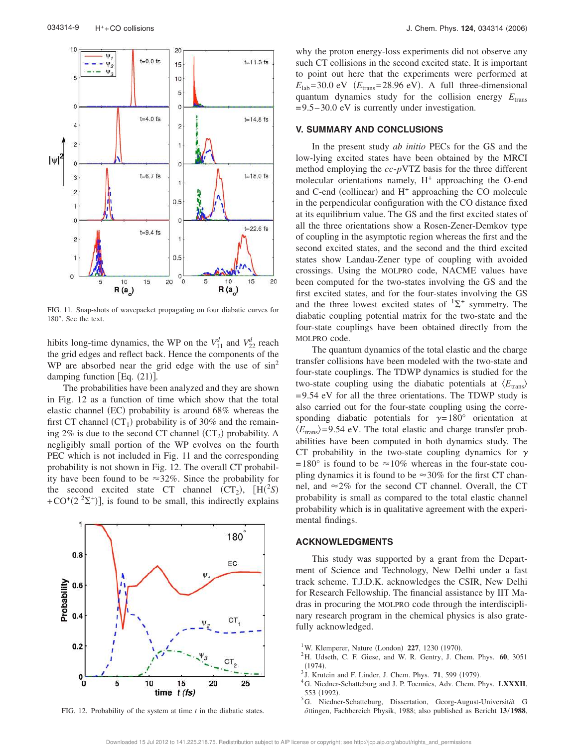

FIG. 11. Snap-shots of wavepacket propagating on four diabatic curves for 180°. See the text.

hibits long-time dynamics, the WP on the  $V_{11}^d$  and  $V_{22}^d$  reach the grid edges and reflect back. Hence the components of the WP are absorbed near the grid edge with the use of  $\sin^2$ damping function  $[Eq. (21)].$ 

The probabilities have been analyzed and they are shown in Fig. 12 as a function of time which show that the total elastic channel (EC) probability is around 68% whereas the first CT channel  $(CT<sub>1</sub>)$  probability is of 30% and the remaining  $2\%$  is due to the second CT channel  $(CT_2)$  probability. A negligibly small portion of the WP evolves on the fourth PEC which is not included in Fig. 11 and the corresponding probability is not shown in Fig. 12. The overall CT probability have been found to be  $\approx 32\%$ . Since the probability for the second excited state CT channel  $(CT_2)$ ,  $[H(^2S)$ +CO<sup>+</sup>(2<sup>2</sup> $\sum$ <sup>+</sup>)], is found to be small, this indirectly explains



FIG. 12. Probability of the system at time *t* in the diabatic states.

why the proton energy-loss experiments did not observe any such CT collisions in the second excited state. It is important to point out here that the experiments were performed at  $E_{\text{lab}} = 30.0 \text{ eV}$  ( $E_{\text{trans}} = 28.96 \text{ eV}$ ). A full three-dimensional quantum dynamics study for the collision energy  $E_{trans}$  $=9.5-30.0$  eV is currently under investigation.

#### **V. SUMMARY AND CONCLUSIONS**

In the present study *ab initio* PECs for the GS and the low-lying excited states have been obtained by the MRCI method employing the *cc*-*p*VTZ basis for the three different molecular orientations namely, H<sup>+</sup> approaching the O-end and C-end (collinear) and H<sup>+</sup> approaching the CO molecule in the perpendicular configuration with the CO distance fixed at its equilibrium value. The GS and the first excited states of all the three orientations show a Rosen-Zener-Demkov type of coupling in the asymptotic region whereas the first and the second excited states, and the second and the third excited states show Landau-Zener type of coupling with avoided crossings. Using the MOLPRO code, NACME values have been computed for the two-states involving the GS and the first excited states, and for the four-states involving the GS and the three lowest excited states of  ${}^{1}\Sigma^{+}$  symmetry. The diabatic coupling potential matrix for the two-state and the four-state couplings have been obtained directly from the MOLPRO code.

The quantum dynamics of the total elastic and the charge transfer collisions have been modeled with the two-state and four-state couplings. The TDWP dynamics is studied for the two-state coupling using the diabatic potentials at  $\langle E_{\text{trans}} \rangle$  $=$  9.54 eV for all the three orientations. The TDWP study is also carried out for the four-state coupling using the corresponding diabatic potentials for  $\gamma=180^\circ$  orientation at  $\langle E_{\text{trans}}\rangle$ =9.54 eV. The total elastic and charge transfer probabilities have been computed in both dynamics study. The CT probability in the two-state coupling dynamics for  $\gamma$ =180° is found to be  $\approx$ 10% whereas in the four-state coupling dynamics it is found to be  $\approx 30\%$  for the first CT channel, and  $\approx$ 2% for the second CT channel. Overall, the CT probability is small as compared to the total elastic channel probability which is in qualitative agreement with the experimental findings.

#### **ACKNOWLEDGMENTS**

This study was supported by a grant from the Department of Science and Technology, New Delhi under a fast track scheme. T.J.D.K. acknowledges the CSIR, New Delhi for Research Fellowship. The financial assistance by IIT Madras in procuring the MOLPRO code through the interdisciplinary research program in the chemical physics is also gratefully acknowledged.

- <sup>1</sup>W. Klemperer, Nature (London) 227, 1230 (1970).
- <sup>2</sup>H. Udseth, C. F. Giese, and W. R. Gentry, J. Chem. Phys. **60**, 3051  $(1974).$
- <sup>3</sup> J. Krutein and F. Linder, J. Chem. Phys. **71**, 599 (1979).
- <sup>4</sup>G. Niedner-Schatteburg and J. P. Toennies, Adv. Chem. Phys. **LXXXII**, 553 (1992).
- <sup>5</sup>G. Niedner-Schatteburg, Dissertation, Georg-August-Universität G *o¨*ttingen, Fachbereich Physik, 1988; also published as Bericht **13**/**1988**,